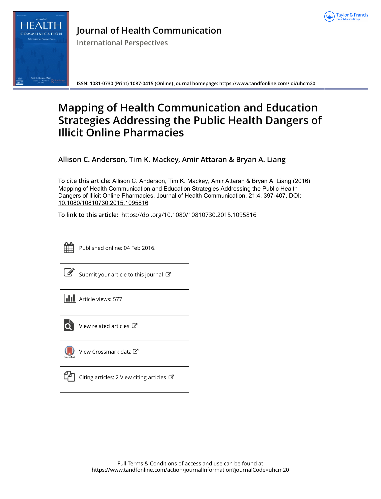



# **Journal of Health Communication**

**International Perspectives**

**ISSN: 1081-0730 (Print) 1087-0415 (Online) Journal homepage:<https://www.tandfonline.com/loi/uhcm20>**

# **Mapping of Health Communication and Education Strategies Addressing the Public Health Dangers of Illicit Online Pharmacies**

**Allison C. Anderson, Tim K. Mackey, Amir Attaran & Bryan A. Liang**

**To cite this article:** Allison C. Anderson, Tim K. Mackey, Amir Attaran & Bryan A. Liang (2016) Mapping of Health Communication and Education Strategies Addressing the Public Health Dangers of Illicit Online Pharmacies, Journal of Health Communication, 21:4, 397-407, DOI: [10.1080/10810730.2015.1095816](https://www.tandfonline.com/action/showCitFormats?doi=10.1080/10810730.2015.1095816)

**To link to this article:** <https://doi.org/10.1080/10810730.2015.1095816>



Published online: 04 Feb 2016.

|--|

[Submit your article to this journal](https://www.tandfonline.com/action/authorSubmission?journalCode=uhcm20&show=instructions)  $\mathbb{Z}$ 





 $\overrightarrow{Q}$  [View related articles](https://www.tandfonline.com/doi/mlt/10.1080/10810730.2015.1095816)  $\overrightarrow{C}$ 



[View Crossmark data](http://crossmark.crossref.org/dialog/?doi=10.1080/10810730.2015.1095816&domain=pdf&date_stamp=2016-02-04) $\mathbb{Z}$ 



[Citing articles: 2 View citing articles](https://www.tandfonline.com/doi/citedby/10.1080/10810730.2015.1095816#tabModule)  $\mathbb{Z}$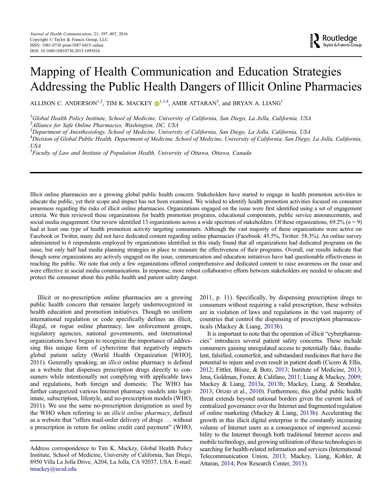# Mapping of Health Communication and Education Strategies Addressing the Public Health Dangers of Illicit Online Pharmacies

ALLISON C. ANDERSON<sup>[1](http://orcid.org/0000-0002-2191-7833),2</sup>, TIM K. MACKEY  $\bigodot^{1,3,4}$ , AMIR ATTARAN<sup>5</sup>, and BRYAN A. LIANG<sup>1</sup>

<sup>1</sup>Global Health Policy Institute, School of Medicine, University of California, San Diego, La Jolla, California, USA <sup>2</sup> Alliance for Safe Online Pharmacies, Washington, DC, USA

3 Department of Anesthesiology, School of Medicine, University of California, San Diego, La Jolla, California, USA

<sup>4</sup> Division of Global Public Health, Department of Medicine, School of Medicine, University of California, San Diego, La Jolla, California, USA

<sup>5</sup> Faculty of Law and Institute of Population Health, University of Ottawa, Ottawa, Canada

Illicit online pharmacies are a growing global public health concern. Stakeholders have started to engage in health promotion activities to educate the public, yet their scope and impact has not been examined. We wished to identify health promotion activities focused on consumer awareness regarding the risks of illicit online pharmacies. Organizations engaged on the issue were first identified using a set of engagement criteria. We then reviewed these organizations for health promotion programs, educational components, public service announcements, and social media engagement. Our review identified 13 organizations across a wide spectrum of stakeholders. Of these organizations, 69.2%  $(n = 9)$ had at least one type of health promotion activity targeting consumers. Although the vast majority of these organizations were active on Facebook or Twitter, many did not have dedicated content regarding online pharmacies (Facebook: 45.5%, Twitter: 58.3%). An online survey administered to 6 respondents employed by organizations identified in this study found that all organizations had dedicated programs on the issue, but only half had media planning strategies in place to measure the effectiveness of their programs. Overall, our results indicate that though some organizations are actively engaged on the issue, communication and education initiatives have had questionable effectiveness in reaching the public. We note that only a few organizations offered comprehensive and dedicated content to raise awareness on the issue and were effective in social media communications. In response, more robust collaborative efforts between stakeholders are needed to educate and protect the consumer about this public health and patient safety danger.

Illicit or no-prescription online pharmacies are a growing public health concern that remains largely underrecognized in health education and promotion initiatives. Though no uniform international regulation or code specifically defines an illicit, illegal, or rogue online pharmacy, law enforcement groups, regulatory agencies, national governments, and international organizations have begun to recognize the importance of addressing this unique form of cybercrime that negatively impacts global patient safety (World Health Organization [WHO], 2011). Generally speaking, an illicit online pharmacy is defined as a website that dispenses prescription drugs directly to consumers while intentionally not complying with applicable laws and regulations, both foreign and domestic. The WHO has further categorized various Internet pharmacy models into legitimate, subscription, lifestyle, and no-prescription models (WHO, 2011). We use the same no-prescription designation as used by the WHO when referring to an *illicit online pharmacy*, defined as a website that "offers mail-order delivery of drugs . . . without a prescription in return for online credit card payment" (WHO, 2011, p. 11). Specifically, by dispensing prescription drugs to consumers without requiring a valid prescription, these websites are in violation of laws and regulations in the vast majority of countries that control the dispensing of prescription pharmaceuticals (Mackey & Liang, [2013b](#page-10-0)).

It is important to note that the operation of illicit "cyberpharmacies" introduces several patient safety concerns. These include consumers gaining unregulated access to potentially fake, fraudulent, falsified, counterfeit, and substandard medicines that have the potential to injure and even result in patient death (Cicero & Ellis, [2012;](#page-10-0) Fittler, Bösze, & Botz, [2013](#page-10-0); Institute of Medicine, [2013](#page-10-0); Jena, Goldman, Foster, & Califano, [2011](#page-10-0); Liang & Mackey, [2009](#page-10-0); Mackey & Liang, [2013a,](#page-10-0) [2013b](#page-10-0); Mackey, Liang, & Strathdee, [2013;](#page-10-0) Orizio et al., [2010](#page-11-0)). Furthermore, this global public health threat extends beyond national borders given the current lack of centralized governance over the Internet and fragmented regulation of online marketing (Mackey & Liang, [2013b\)](#page-10-0). Accelerating the growth in this illicit digital enterprise is the constantly increasing volume of Internet users as a consequence of improved accessibility to the Internet through both traditional Internet access and mobile technology, and growing utilization of these technologies in searching for health-related information and services (International Telecommunication Union, [2013](#page-10-0); Mackey, Liang, Kohler, & Attaran, [2014](#page-10-0); Pew Research Center, [2013](#page-11-0)).

Address correspondence to Tim K. Mackey, Global Health Policy Institute, School of Medicine, University of California, San Diego, 8950 Villa La Jolla Drive, A204, La Jolla, CA 92037, USA. E-mail: tmackey@ucsd.edu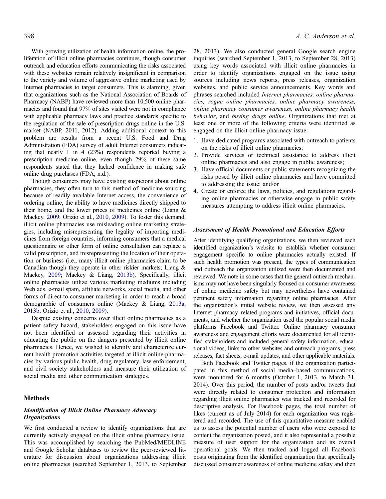With growing utilization of health information online, the proliferation of illicit online pharmacies continues, though consumer outreach and education efforts communicating the risks associated with these websites remain relatively insignificant in comparison to the variety and volume of aggressive online marketing used by Internet pharmacies to target consumers. This is alarming, given that organizations such as the National Association of Boards of Pharmacy (NABP) have reviewed more than 10,500 online pharmacies and found that 97% of sites visited were not in compliance with applicable pharmacy laws and practice standards specific to the regulation of the sale of prescription drugs online in the U.S. market (NABP, 2011, 2012). Adding additional context to this problem are results from a recent U.S. Food and Drug Administration (FDA) survey of adult Internet consumers indicating that nearly 1 in 4 (23%) respondents reported buying a prescription medicine online, even though 29% of these same respondents stated that they lacked confidence in making safe online drug purchases (FDA, n.d.).

Though consumers may have existing suspicions about online pharmacies, they often turn to this method of medicine sourcing because of readily available Internet access, the convenience of ordering online, the ability to have medicines directly shipped to their home, and the lower prices of medicines online (Liang  $\&$ Mackey, [2009;](#page-10-0) Orizio et al., [2010](#page-11-0), [2009](#page-11-0)). To foster this demand, illicit online pharmacies use misleading online marketing strategies, including misrepresenting the legality of importing medicines from foreign countries, informing consumers that a medical questionnaire or other form of online consultation can replace a valid prescription, and misrepresenting the location of their operation or business (i.e., many illicit online pharmacies claim to be Canadian though they operate in other riskier markets; Liang & Mackey, [2009](#page-10-0); Mackey & Liang, [2013b](#page-10-0)). Specifically, illicit online pharmacies utilize various marketing mediums including Web ads, e-mail spam, affiliate networks, social media, and other forms of direct-to-consumer marketing in order to reach a broad demographic of consumers online (Mackey & Liang, [2013a](#page-10-0), [2013b](#page-10-0); Orizio et al., [2010,](#page-11-0) [2009\)](#page-11-0).

Despite existing concerns over illicit online pharmacies as a patient safety hazard, stakeholders engaged on this issue have not been identified or assessed regarding their activities in educating the public on the dangers presented by illicit online pharmacies. Hence, we wished to identify and characterize current health promotion activities targeted at illicit online pharmacies by various public health, drug regulatory, law enforcement, and civil society stakeholders and measure their utilization of social media and other communication strategies.

# Methods

# Identification of Illicit Online Pharmacy Advocacy **Organizations**

We first conducted a review to identify organizations that are currently actively engaged on the illicit online pharmacy issue. This was accomplished by searching the PubMed/MEDLINE and Google Scholar databases to review the peer-reviewed literature for discussion about organizations addressing illicit online pharmacies (searched September 1, 2013, to September

28, 2013). We also conducted general Google search engine inquiries (searched September 1, 2013, to September 28, 2013) using key words associated with illicit online pharmacies in order to identify organizations engaged on the issue using sources including news reports, press releases, organization websites, and public service announcements. Key words and phrases searched included Internet pharmacies, online pharmacies, rogue online pharmacies, online pharmacy awareness, online pharmacy consumer awareness, online pharmacy health behavior, and buying drugs online. Organizations that met at least one or more of the following criteria were identified as engaged on the illicit online pharmacy issue:

- 1. Have dedicated programs associated with outreach to patients on the risks of illicit online pharmacies;
- 2. Provide services or technical assistance to address illicit online pharmacies and also engage in public awareness;
- 3. Have official documents or public statements recognizing the risks posed by illicit online pharmacies and have committed to addressing the issue; and/or
- 4. Create or enforce the laws, policies, and regulations regarding online pharmacies or otherwise engage in public safety measures attempting to address illicit online pharmacies.

#### Assessment of Health Promotional and Education Efforts

After identifying qualifying organizations, we then reviewed each identified organization's website to establish whether consumer engagement specific to online pharmacies actually existed. If such health promotion was present, the types of communication and outreach the organization utilized were then documented and reviewed. We note in some cases that the general outreach mechanisms may not have been singularly focused on consumer awareness of online medicine safety but may nevertheless have contained pertinent safety information regarding online pharmacies. After the organization's initial website review, we then assessed any Internet pharmacy–related programs and initiatives, official documents, and whether the organization used the popular social media platforms Facebook and Twitter. Online pharmacy consumer awareness and engagement efforts were documented for all identified stakeholders and included general safety information, educational videos, links to other websites and outreach programs, press releases, fact sheets, e-mail updates, and other applicable materials.

Both Facebook and Twitter pages, if the organization participated in this method of social media–based communications, were monitored for 6 months (October 1, 2013, to March 31, 2014). Over this period, the number of posts and/or tweets that were directly related to consumer protection and information regarding illicit online pharmacies was tracked and recorded for descriptive analysis. For Facebook pages, the total number of likes (current as of July 2014) for each organization was registered and recorded. The use of this quantitative measure enabled us to assess the potential number of users who were exposed to content the organization posted, and it also represented a possible measure of user support for the organization and its overall operational goals. We then tracked and logged all Facebook posts originating from the identified organization that specifically discussed consumer awareness of online medicine safety and then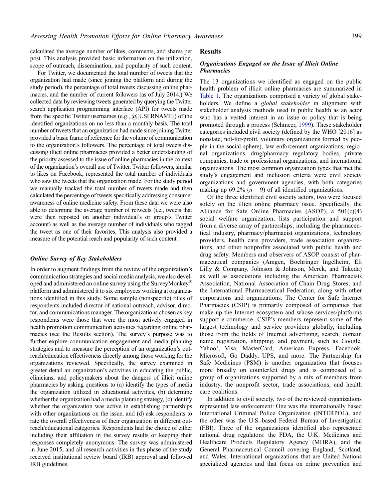calculated the average number of likes, comments, and shares per post. This analysis provided basic information on the utilization, scope of outreach, dissemination, and popularity of such content.

For Twitter, we documented the total number of tweets that the organization had made (since joining the platform and during the study period), the percentage of total tweets discussing online pharmacies, and the number of current followers (as of July 2014.) We collected data by reviewing tweets generated by querying the Twitter search application programming interface (API) for tweets made from the specific Twitter usernames (e.g., @[USERNAME]) of the identified organizations on no less than a monthly basis. The total number of tweets that an organization had made since joining Twitter provided a basic frame of reference for the volume of communication to the organization's followers. The percentage of total tweets discussing illicit online pharmacies provided a better understanding of the priority assessed to the issue of online pharmacies in the context of the organization's overall use of Twitter. Twitter followers, similar to likes on Facebook, represented the total number of individuals who saw the tweets that the organization made. For the study period we manually tracked the total number of tweets made and then calculated the percentage of tweets specifically addressing consumer awareness of online medicine safety. From these data we were also able to determine the average number of retweets (i.e., tweets that were then reposted on another individual's or group's Twitter account) as well as the average number of individuals who tagged the tweet as one of their favorites. This analysis also provided a measure of the potential reach and popularity of such content.

#### Online Survey of Key Stakeholders

In order to augment findings from the review of the organization's communication strategies and social media analysis, we also developed and administered an online survey using the SurveyMonkey® platform and administered it to six employees working at organizations identified in this study. Some sample (nonspecific) titles of respondents included director of national outreach, advisor, director, and communications manager. The organizations chosen as key respondents were those that were the most actively engaged in health promotion communication activities regarding online pharmacies (see the Results section). The survey's purpose was to further explore communication engagement and media planning strategies and to measure the perception of an organization's outreach/education effectiveness directly among those working for the organizations reviewed. Specifically, the survey examined in greater detail an organization's activities in educating the public, clinicians, and policymakers about the dangers of illicit online pharmacies by asking questions to (a) identify the types of media the organization utilized in educational activities, (b) determine whether the organization had a media planning strategy, (c) identify whether the organization was active in establishing partnerships with other organizations on the issue, and (d) ask respondents to rate the overall effectiveness of their organization in different outreach/educational categories. Respondents had the choice of either including their affiliation in the survey results or keeping their responses completely anonymous. The survey was administered in June 2015, and all research activities in this phase of the study received institutional review board (IRB) approval and followed IRB guidelines.

#### Results

#### Organizations Engaged on the Issue of Illicit Online Pharmacies

The 13 organizations we identified as engaged on the public health problem of illicit online pharmacies are summarized in [Table 1](#page-4-0). The organizations comprised a variety of global stakeholders. We define a global stakeholder in alignment with stakeholder analysis methods used in public health as an actor who has a vested interest in an issue or policy that is being promoted through a process (Schmeer, [1999\)](#page-11-0). These stakeholder categories included civil society (defined by the WHO [2016] as nonstate, not-for-profit, voluntary organizations formed by people in the social sphere), law enforcement organizations, regional organizations, drug/pharmacy regulatory bodies, private companies, trade or professional organizations, and international organizations. The most common organization types that met the study's engagement and inclusion criteria were civil society organizations and government agencies, with both categories making up 69.2% ( $n = 9$ ) of all identified organizations.

Of the three identified civil society actors, two were focused solely on the illicit online pharmacy issue. Specifically, the Alliance for Safe Online Pharmacies (ASOP), a  $501(c)(4)$ social welfare organization, lists participation and support from a diverse array of partnerships, including the pharmaceutical industry, pharmacy/pharmacist organizations, technology providers, health care providers, trade association organizations, and other nonprofits associated with public health and drug safety. Members and observers of ASOP consist of pharmaceutical companies (Amgen, Boehringer Ingelheim, Eli Lilly & Company, Johnson & Johnson, Merck, and Takeda) as well as associations including the American Pharmacists Association, National Association of Chain Drug Stores, and the International Pharmaceutical Federation, along with other corporations and organizations. The Center for Safe Internet Pharmacies (CSIP) is primarily composed of companies that make up the Internet ecosystem and whose services/platforms support e-commerce. CSIP's members represent some of the largest technology and service providers globally, including those from the fields of Internet advertising, search, domain name registration, shipping, and payment, such as Google, Yahoo!, Visa, MasterCard, American Express, Facebook, Microsoft, Go Daddy, UPS, and more. The Partnership for Safe Medicines (PSM) is another organization that focuses more broadly on counterfeit drugs and is composed of a group of organizations supported by a mix of members from industry, the nonprofit sector, trade associations, and health care coalitions.

In addition to civil society, two of the reviewed organizations represented law enforcement: One was the internationally based International Criminal Police Organization (INTERPOL), and the other was the U.S.-based Federal Bureau of Investigation (FBI). Three of the organizations identified also represented national drug regulators: the FDA, the U.K. Medicines and Healthcare Products Regulatory Agency (MHRA), and the General Pharmaceutical Council covering England, Scotland, and Wales. International organizations that are United Nations specialized agencies and that focus on crime prevention and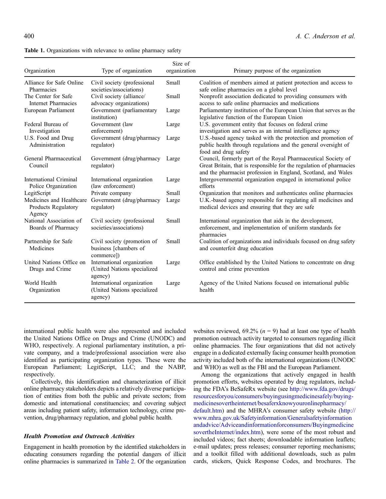| Organization                                              | Type of organization                                                 | Size of<br>organization | Primary purpose of the organization                                                                                                                                                                   |
|-----------------------------------------------------------|----------------------------------------------------------------------|-------------------------|-------------------------------------------------------------------------------------------------------------------------------------------------------------------------------------------------------|
| Alliance for Safe Online<br>Pharmacies                    | Civil society (professional<br>societies/associations)               | Small                   | Coalition of members aimed at patient protection and access to<br>safe online pharmacies on a global level                                                                                            |
| The Center for Safe<br>Internet Pharmacies                | Civil society (alliance/<br>advocacy organizations)                  | Small                   | Nonprofit association dedicated to providing consumers with<br>access to safe online pharmacies and medications                                                                                       |
| European Parliament                                       | Government (parliamentary<br>institution)                            | Large                   | Parliamentary institution of the European Union that serves as the<br>legislative function of the European Union                                                                                      |
| Federal Bureau of<br>Investigation                        | Government (law<br>enforcement)                                      | Large                   | U.S. government entity that focuses on federal crime<br>investigation and serves as an internal intelligence agency                                                                                   |
| U.S. Food and Drug<br>Administration                      | Government (drug/pharmacy<br>regulator)                              | Large                   | U.S.-based agency tasked with the protection and promotion of<br>public health through regulations and the general oversight of<br>food and drug safety                                               |
| General Pharmaceutical<br>Council                         | Government (drug/pharmacy<br>regulator)                              | Large                   | Council, formerly part of the Royal Pharmaceutical Society of<br>Great Britain, that is responsible for the regulation of pharmacies<br>and the pharmacist profession in England, Scotland, and Wales |
| International Criminal<br>Police Organization             | International organization<br>(law enforcement)                      | Large                   | Intergovernmental organization engaged in international police<br>efforts                                                                                                                             |
| LegitScript                                               | Private company                                                      | Small                   | Organization that monitors and authenticates online pharmacies                                                                                                                                        |
| Medicines and Healthcare<br>Products Regulatory<br>Agency | Government (drug/pharmacy<br>regulator)                              | Large                   | U.K.-based agency responsible for regulating all medicines and<br>medical devices and ensuring that they are safe                                                                                     |
| National Association of<br>Boards of Pharmacy             | Civil society (professional<br>societies/associations)               | Small                   | International organization that aids in the development,<br>enforcement, and implementation of uniform standards for<br>pharmacies                                                                    |
| Partnership for Safe<br>Medicines                         | Civil society (promotion of<br>business [chambers of<br>commerce])   | Small                   | Coalition of organizations and individuals focused on drug safety<br>and counterfeit drug education                                                                                                   |
| United Nations Office on<br>Drugs and Crime               | International organization<br>(United Nations specialized<br>agency) | Large                   | Office established by the United Nations to concentrate on drug<br>control and crime prevention                                                                                                       |
| World Health<br>Organization                              | International organization<br>(United Nations specialized<br>agency) | Large                   | Agency of the United Nations focused on international public<br>health                                                                                                                                |

<span id="page-4-0"></span>Table 1. Organizations with relevance to online pharmacy safety

international public health were also represented and included the United Nations Office on Drugs and Crime (UNODC) and WHO, respectively. A regional parliamentary institution, a private company, and a trade/professional association were also identified as participating organization types. These were the European Parliament; LegitScript, LLC; and the NABP, respectively.

Collectively, this identification and characterization of illicit online pharmacy stakeholders depicts a relatively diverse participation of entities from both the public and private sectors; from domestic and international constituencies; and covering subject areas including patient safety, information technology, crime prevention, drug/pharmacy regulation, and global public health.

# Health Promotion and Outreach Activities

Engagement in health promotion by the identified stakeholders in educating consumers regarding the potential dangers of illicit online pharmacies is summarized in [Table 2.](#page-6-0) Of the organization websites reviewed, 69.2% ( $n = 9$ ) had at least one type of health promotion outreach activity targeted to consumers regarding illicit online pharmacies. The four organizations that did not actively engage in a dedicated externally facing consumer health promotion activity included both of the international organizations (UNODC and WHO) as well as the FBI and the European Parliament.

Among the organizations that actively engaged in health promotion efforts, websites operated by drug regulators, including the FDA's BeSafeRx website (see [http://www.fda.gov/drugs/](http://www.fda.gov/drugs/resourcesforyou/consumers/buyingusingmedicinesafely/buyingmedicinesovertheinternet/besaferxknowyouronlinepharmacy/default.htm) [resourcesforyou/consumers/buyingusingmedicinesafely/buying](http://www.fda.gov/drugs/resourcesforyou/consumers/buyingusingmedicinesafely/buyingmedicinesovertheinternet/besaferxknowyouronlinepharmacy/default.htm)[medicinesovertheinternet/besaferxknowyouronlinepharmacy/](http://www.fda.gov/drugs/resourcesforyou/consumers/buyingusingmedicinesafely/buyingmedicinesovertheinternet/besaferxknowyouronlinepharmacy/default.htm) [default.htm](http://www.fda.gov/drugs/resourcesforyou/consumers/buyingusingmedicinesafely/buyingmedicinesovertheinternet/besaferxknowyouronlinepharmacy/default.htm)) and the MHRA's consumer safety website ([http://](http://www.mhra.gov.uk/Safetyinformation/Generalsafetyinformationandadvice/Adviceandinformationforconsumers/BuyingmedicinesovertheInternet/index.htm) [www.mhra.gov.uk/Safetyinformation/Generalsafetyinformation](http://www.mhra.gov.uk/Safetyinformation/Generalsafetyinformationandadvice/Adviceandinformationforconsumers/BuyingmedicinesovertheInternet/index.htm) [andadvice/Adviceandinformationforconsumers/Buyingmedicine](http://www.mhra.gov.uk/Safetyinformation/Generalsafetyinformationandadvice/Adviceandinformationforconsumers/BuyingmedicinesovertheInternet/index.htm) [sovertheInternet/index.htm\)](http://www.mhra.gov.uk/Safetyinformation/Generalsafetyinformationandadvice/Adviceandinformationforconsumers/BuyingmedicinesovertheInternet/index.htm), were some of the most robust and included videos; fact sheets; downloadable information leaflets; e-mail updates; press releases; consumer reporting mechanisms; and a toolkit filled with additional downloads, such as palm cards, stickers, Quick Response Codes, and brochures. The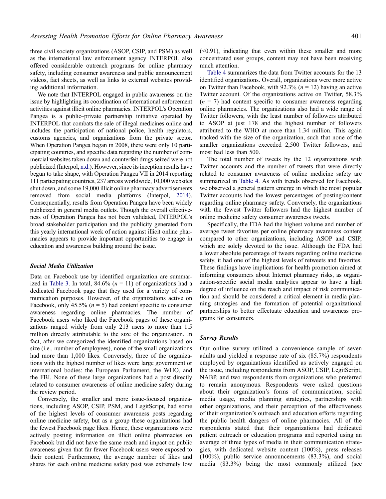three civil society organizations (ASOP, CSIP, and PSM) as well as the international law enforcement agency INTERPOL also offered considerable outreach programs for online pharmacy safety, including consumer awareness and public announcement videos, fact sheets, as well as links to external websites providing additional information.

We note that INTERPOL engaged in public awareness on the issue by highlighting its coordination of international enforcement activities against illicit online pharmacies. INTERPOL's Operation Pangea is a public–private partnership initiative operated by INTERPOL that combats the sale of illegal medicines online and includes the participation of national police, health regulators, customs agencies, and organizations from the private sector. When Operation Pangea began in 2008, there were only 10 participating countries, and specific data regarding the number of commercial websites taken down and counterfeit drugs seized were not publicized (Interpol, [n.d.](#page-10-0)). However, since its inception results have begun to take shape, with Operation Pangea VII in 2014 reporting 111 participating countries, 237 arrests worldwide, 10,000 websites shut down, and some 19,000 illicit online pharmacy advertisements removed from social media platforms (Interpol, [2014](#page-10-0)). Consequentially, results from Operation Pangea have been widely publicized in general media outlets. Though the overall effectiveness of Operation Pangea has not been validated, INTERPOL's broad stakeholder participation and the publicity generated from this yearly international week of action against illicit online pharmacies appears to provide important opportunities to engage in education and awareness building around the issue.

#### Social Media Utilization

Data on Facebook use by identified organization are summar-ized in [Table 3.](#page-7-0) In total, 84.6% ( $n = 11$ ) of organizations had a dedicated Facebook page that they used for a variety of communication purposes. However, of the organizations active on Facebook, only 45.5% ( $n = 5$ ) had content specific to consumer awareness regarding online pharmacies. The number of Facebook users who liked the Facebook pages of these organizations ranged widely from only 213 users to more than 1.5 million directly attributable to the size of the organization. In fact, after we categorized the identified organizations based on size (i.e., number of employees), none of the small organizations had more than 1,000 likes. Conversely, three of the organizations with the highest number of likes were large government or international bodies: the European Parliament, the WHO, and the FBI. None of these large organizations had a post directly related to consumer awareness of online medicine safety during the review period.

Conversely, the smaller and more issue-focused organizations, including ASOP, CSIP, PSM, and LegitScript, had some of the highest levels of consumer awareness posts regarding online medicine safety, but as a group these organizations had the fewest Facebook page likes. Hence, these organizations were actively posting information on illicit online pharmacies on Facebook but did not have the same reach and impact on public awareness given that far fewer Facebook users were exposed to their content. Furthermore, the average number of likes and shares for each online medicine safety post was extremely low  $(<0.91$ ), indicating that even within these smaller and more concentrated user groups, content may not have been receiving much attention.

[Table 4](#page-7-0) summarizes the data from Twitter accounts for the 13 identified organizations. Overall, organizations were more active on Twitter than Facebook, with 92.3% ( $n = 12$ ) having an active Twitter account. Of the organizations active on Twitter, 58.3%  $(n = 7)$  had content specific to consumer awareness regarding online pharmacies. The organizations also had a wide range of Twitter followers, with the least number of followers attributed to ASOP at just 178 and the highest number of followers attributed to the WHO at more than 1.34 million. This again tracked with the size of the organization, such that none of the smaller organizations exceeded 2,500 Twitter followers, and most had less than 500.

The total number of tweets by the 12 organizations with Twitter accounts and the number of tweets that were directly related to consumer awareness of online medicine safety are summarized in [Table 4.](#page-7-0) As with trends observed for Facebook, we observed a general pattern emerge in which the most popular Twitter accounts had the lowest percentages of posting/content regarding online pharmacy safety. Conversely, the organizations with the fewest Twitter followers had the highest number of online medicine safety consumer awareness tweets.

Specifically, the FDA had the highest volume and number of average tweet favorites per online pharmacy awareness content compared to other organizations, including ASOP and CSIP, which are solely devoted to the issue. Although the FDA had a lower absolute percentage of tweets regarding online medicine safety, it had one of the highest levels of retweets and favorites. These findings have implications for health promotion aimed at informing consumers about Internet pharmacy risks, as organization-specific social media analytics appear to have a high degree of influence on the reach and impact of risk communication and should be considered a critical element in media planning strategies and the formation of potential organizational partnerships to better effectuate education and awareness programs for consumers.

#### Survey Results

Our online survey utilized a convenience sample of seven adults and yielded a response rate of six (85.7%) respondents employed by organizations identified as actively engaged on the issue, including respondents from ASOP, CSIP, LegitScript, NABP, and two respondents from organizations who preferred to remain anonymous. Respondents were asked questions about their organization's forms of communication, social media usage, media planning strategies, partnerships with other organizations, and their perception of the effectiveness of their organization's outreach and education efforts regarding the public health dangers of online pharmacies. All of the respondents stated that their organizations had dedicated patient outreach or education programs and reported using an average of three types of media in their communication strategies, with dedicated website content (100%), press releases (100%), public service announcements (83.3%), and social media (83.3%) being the most commonly utilized (see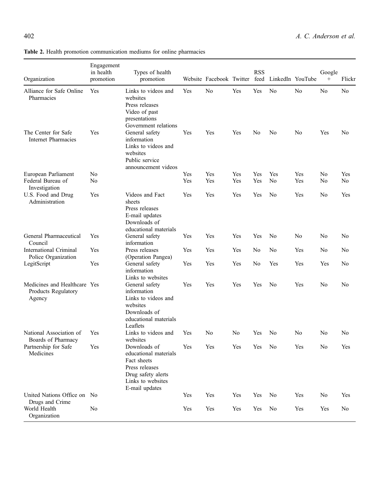| Organization                                                  | Engagement<br>in health<br>promotion | Types of health<br>promotion                                                                                                        |     | Website Facebook Twitter |     | <b>RSS</b>     | feed LinkedIn YouTube |                | Google | Flickr |
|---------------------------------------------------------------|--------------------------------------|-------------------------------------------------------------------------------------------------------------------------------------|-----|--------------------------|-----|----------------|-----------------------|----------------|--------|--------|
| Alliance for Safe Online<br>Pharmacies                        | Yes                                  | Links to videos and<br>websites<br>Press releases<br>Video of past<br>presentations<br>Government relations                         | Yes | N <sub>0</sub>           | Yes | Yes            | No                    | N <sub>o</sub> | No     | No     |
| The Center for Safe<br><b>Internet Pharmacies</b>             | Yes                                  | General safety<br>information<br>Links to videos and<br>websites<br>Public service<br>announcement videos                           | Yes | Yes                      | Yes | No             | No                    | No             | Yes    | No     |
| European Parliament                                           | No                                   |                                                                                                                                     | Yes | Yes                      | Yes | Yes            | Yes                   | Yes            | No     | Yes    |
| Federal Bureau of<br>Investigation                            | N <sub>0</sub>                       |                                                                                                                                     | Yes | Yes                      | Yes | Yes            | No                    | Yes            | No     | No     |
| U.S. Food and Drug<br>Administration                          | Yes                                  | Videos and Fact<br>sheets<br>Press releases<br>E-mail updates<br>Downloads of<br>educational materials                              | Yes | Yes                      | Yes | Yes            | No                    | Yes            | No     | Yes    |
| General Pharmaceutical<br>Council                             | Yes                                  | General safety<br>information                                                                                                       | Yes | Yes                      | Yes | Yes            | No                    | No             | No     | No     |
| <b>International Criminal</b><br>Police Organization          | Yes                                  | Press releases<br>(Operation Pangea)                                                                                                | Yes | Yes                      | Yes | N <sub>0</sub> | No                    | Yes            | No     | No     |
| LegitScript                                                   | Yes                                  | General safety<br>information<br>Links to websites                                                                                  | Yes | Yes                      | Yes | No             | Yes                   | Yes            | Yes    | No     |
| Medicines and Healthcare Yes<br>Products Regulatory<br>Agency |                                      | General safety<br>information<br>Links to videos and<br>websites<br>Downloads of<br>educational materials<br>Leaflets               | Yes | Yes                      | Yes | Yes            | No                    | Yes            | No     | No     |
| National Association of<br>Boards of Pharmacy                 | Yes                                  | Links to videos and<br>websites                                                                                                     | Yes | No                       | No  | Yes            | No                    | No             | No     | No     |
| Partnership for Safe<br>Medicines                             | Yes                                  | Downloads of<br>educational materials<br>Fact sheets<br>Press releases<br>Drug safety alerts<br>Links to websites<br>E-mail updates | Yes | Yes                      | Yes | Yes            | N <sub>0</sub>        | Yes            | No     | Yes    |
| United Nations Office on No<br>Drugs and Crime                |                                      |                                                                                                                                     | Yes | Yes                      | Yes | Yes            | No                    | Yes            | No     | Yes    |
| World Health<br>Organization                                  | No                                   |                                                                                                                                     | Yes | Yes                      | Yes | Yes            | N <sub>0</sub>        | Yes            | Yes    | No     |

<span id="page-6-0"></span>Table 2. Health promotion communication mediums for online pharmacies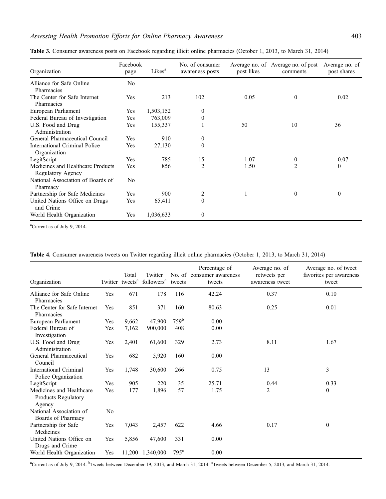| Organization                                           | Facebook<br>page | Likes <sup>a</sup> | No. of consumer<br>awareness posts | post likes | Average no. of Average no. of post<br>comments | Average no. of<br>post shares |
|--------------------------------------------------------|------------------|--------------------|------------------------------------|------------|------------------------------------------------|-------------------------------|
| Alliance for Safe Online<br>Pharmacies                 | N <sub>0</sub>   |                    |                                    |            |                                                |                               |
| The Center for Safe Internet<br>Pharmacies             | Yes              | 213                | 102                                | 0.05       | $\bf{0}$                                       | 0.02                          |
| European Parliament                                    | Yes              | 1,503,152          | $\mathbf{0}$                       |            |                                                |                               |
| Federal Bureau of Investigation                        | Yes              | 763,009            | 0                                  |            |                                                |                               |
| U.S. Food and Drug<br>Administration                   | Yes              | 155,337            |                                    | 50         | 10                                             | 36                            |
| General Pharmaceutical Council                         | Yes              | 910                | $\bf{0}$                           |            |                                                |                               |
| International Criminal Police<br>Organization          | Yes              | 27,130             | $\theta$                           |            |                                                |                               |
| LegitScript                                            | Yes              | 785                | 15                                 | 1.07       | $\mathbf{0}$                                   | 0.07                          |
| Medicines and Healthcare Products<br>Regulatory Agency | Yes              | 856                | 2                                  | 1.50       | 2                                              | $\bf{0}$                      |
| National Association of Boards of<br>Pharmacy          | N <sub>o</sub>   |                    |                                    |            |                                                |                               |
| Partnership for Safe Medicines                         | Yes              | 900                | 2                                  |            | $\mathbf{0}$                                   | $\mathbf{0}$                  |
| United Nations Office on Drugs<br>and Crime            | Yes              | 65,411             | $\theta$                           |            |                                                |                               |
| World Health Organization                              | Yes              | 1,036,633          | $\bf{0}$                           |            |                                                |                               |

<span id="page-7-0"></span>

|  |  |  | Table 3. Consumer awareness posts on Facebook regarding illicit online pharmacies (October 1, 2013, to March 31, 2014) |
|--|--|--|------------------------------------------------------------------------------------------------------------------------|
|--|--|--|------------------------------------------------------------------------------------------------------------------------|

a Current as of July 9, 2014.

| Organization                                              |                | Total<br>Twitter tweets <sup>a</sup> | Twitter<br>followers <sup>a</sup> | tweets           | Percentage of<br>No. of consumer awareness<br>tweets | Average no. of<br>retweets per<br>awareness tweet | Average no. of tweet<br>favorites per awareness<br>tweet |
|-----------------------------------------------------------|----------------|--------------------------------------|-----------------------------------|------------------|------------------------------------------------------|---------------------------------------------------|----------------------------------------------------------|
| Alliance for Safe Online<br>Pharmacies                    | Yes            | 671                                  | 178                               | 116              | 42.24                                                | 0.37                                              | 0.10                                                     |
| The Center for Safe Internet<br>Pharmacies                | Yes            | 851                                  | 371                               | 160              | 80.63                                                | 0.25                                              | 0.01                                                     |
| European Parliament                                       | Yes            | 9,662                                | 47,900                            | 759 <sup>b</sup> | 0.00                                                 |                                                   |                                                          |
| Federal Bureau of<br>Investigation                        | Yes            | 7,162                                | 900,000                           | 408              | 0.00                                                 |                                                   |                                                          |
| U.S. Food and Drug<br>Administration                      | Yes            | 2,401                                | 61,600                            | 329              | 2.73                                                 | 8.11                                              | 1.67                                                     |
| General Pharmaceutical<br>Council                         | Yes            | 682                                  | 5,920                             | 160              | 0.00                                                 |                                                   |                                                          |
| International Criminal<br>Police Organization             | Yes            | 1,748                                | 30,600                            | 266              | 0.75                                                 | 13                                                | 3                                                        |
| LegitScript                                               | Yes            | 905                                  | 220                               | 35               | 25.71                                                | 0.44                                              | 0.33                                                     |
| Medicines and Healthcare<br>Products Regulatory<br>Agency | Yes            | 177                                  | 1,896                             | 57               | 1.75                                                 | 2                                                 | $\mathbf{0}$                                             |
| National Association of<br>Boards of Pharmacy             | N <sub>0</sub> |                                      |                                   |                  |                                                      |                                                   |                                                          |
| Partnership for Safe<br>Medicines                         | Yes            | 7,043                                | 2,457                             | 622              | 4.66                                                 | 0.17                                              | $\mathbf{0}$                                             |
| United Nations Office on<br>Drugs and Crime               | Yes            | 5,856                                | 47,600                            | 331              | 0.00                                                 |                                                   |                                                          |
| World Health Organization                                 | Yes            | 11,200                               | 1,340,000                         | $795^{\circ}$    | 0.00                                                 |                                                   |                                                          |

Table 4. Consumer awareness tweets on Twitter regarding illicit online pharmacies (October 1, 2013, to March 31, 2014)

<sup>a</sup>Current as of July 9, 2014. <sup>b</sup>Tweets between December 19, 2013, and March 31, 2014. <sup>c</sup>Tweets between December 5, 2013, and March 31, 2014.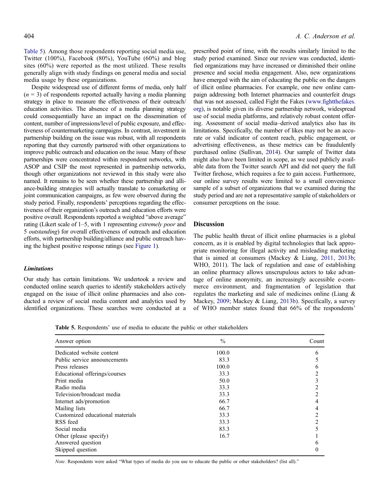Table 5). Among those respondents reporting social media use, Twitter (100%), Facebook (80%), YouTube (60%) and blog sites (60%) were reported as the most utilized. These results generally align with study findings on general media and social media usage by these organizations.

Despite widespread use of different forms of media, only half  $(n = 3)$  of respondents reported actually having a media planning strategy in place to measure the effectiveness of their outreach/ education activities. The absence of a media planning strategy could consequentially have an impact on the dissemination of content, number of impressions/level of public exposure, and effectiveness of countermarketing campaigns. In contrast, investment in partnership building on the issue was robust, with all respondents reporting that they currently partnered with other organizations to improve public outreach and education on the issue. Many of these partnerships were concentrated within respondent networks, with ASOP and CSIP the most represented in partnership networks, though other organizations not reviewed in this study were also named. It remains to be seen whether these partnership and alliance-building strategies will actually translate to comarketing or joint communication campaigns, as few were observed during the study period. Finally, respondents' perceptions regarding the effectiveness of their organization's outreach and education efforts were positive overall. Respondents reported a weighted "above average" rating (Likert scale of 1–5, with 1 representing extremely poor and 5 outstanding) for overall effectiveness of outreach and education efforts, with partnership building/alliance and public outreach having the highest positive response ratings (see [Figure 1](#page-9-0)).

#### Limitations

Our study has certain limitations. We undertook a review and conducted online search queries to identify stakeholders actively engaged on the issue of illicit online pharmacies and also conducted a review of social media content and analytics used by identified organizations. These searches were conducted at a prescribed point of time, with the results similarly limited to the study period examined. Since our review was conducted, identified organizations may have increased or diminished their online presence and social media engagement. Also, new organizations have emerged with the aim of educating the public on the dangers of illicit online pharmacies. For example, one new online campaign addressing both Internet pharmacies and counterfeit drugs that was not assessed, called Fight the Fakes [\(www.fightthefakes.](http://www.fightthefakes.org) [org\)](http://www.fightthefakes.org), is notable given its diverse partnership network, widespread use of social media platforms, and relatively robust content offering. Assessment of social media–derived analytics also has its limitations. Specifically, the number of likes may not be an accurate or valid indicator of content reach, public engagement, or advertising effectiveness, as these metrics can be fraudulently purchased online (Sullivan, [2014](#page-11-0)). Our sample of Twitter data might also have been limited in scope, as we used publicly available data from the Twitter search API and did not query the full Twitter firehose, which requires a fee to gain access. Furthermore, our online survey results were limited to a small convenience sample of a subset of organizations that we examined during the study period and are not a representative sample of stakeholders or consumer perceptions on the issue.

#### **Discussion**

The public health threat of illicit online pharmacies is a global concern, as it is enabled by digital technologies that lack appropriate monitoring for illegal activity and misleading marketing that is aimed at consumers (Mackey & Liang, [2011](#page-10-0), [2013b](#page-10-0); WHO, 2011). The lack of regulation and ease of establishing an online pharmacy allows unscrupulous actors to take advantage of online anonymity, an increasingly accessible e-commerce environment, and fragmentation of legislation that regulates the marketing and sale of medicines online (Liang & Mackey, [2009;](#page-10-0) Mackey & Liang, [2013b](#page-10-0)). Specifically, a survey of WHO member states found that 66% of the respondents'

Table 5. Respondents' use of media to educate the public or other stakeholders

| Answer option                    | $\frac{0}{0}$ | Count    |
|----------------------------------|---------------|----------|
| Dedicated website content        | 100.0         | 6        |
| Public service announcements     | 83.3          | 5        |
| Press releases                   | 100.0         | 6        |
| Educational offerings/courses    | 33.3          | 2        |
| Print media                      | 50.0          | 3        |
| Radio media                      | 33.3          | 2        |
| Television/broadcast media       | 33.3          | 2        |
| Internet ads/promotion           | 66.7          | 4        |
| Mailing lists                    | 66.7          | 4        |
| Customized educational materials | 33.3          | 2        |
| RSS feed                         | 33.3          | 2        |
| Social media                     | 83.3          |          |
| Other (please specify)           | 16.7          |          |
| Answered question                |               | 6        |
| Skipped question                 |               | $\theta$ |

Note. Respondents were asked "What types of media do you use to educate the public or other stakeholders? (list all)."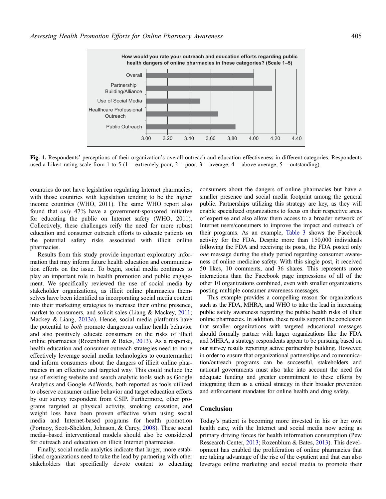<span id="page-9-0"></span>

Fig. 1. Respondents' perceptions of their organization's overall outreach and education effectiveness in different categories. Respondents used a Likert rating scale from 1 to 5 (1 = extremely poor, 2 = poor, 3 = average, 4 = above average, 5 = outstanding).

countries do not have legislation regulating Internet pharmacies, with those countries with legislation tending to be the higher income countries (WHO, 2011). The same WHO report also found that only 47% have a government-sponsored initiative for educating the public on Internet safety (WHO, 2011). Collectively, these challenges reify the need for more robust education and consumer outreach efforts to educate patients on the potential safety risks associated with illicit online pharmacies.

Results from this study provide important exploratory information that may inform future health education and communication efforts on the issue. To begin, social media continues to play an important role in health promotion and public engagement. We specifically reviewed the use of social media by stakeholder organizations, as illicit online pharmacies themselves have been identified as incorporating social media content into their marketing strategies to increase their online presence, market to consumers, and solicit sales (Liang & Mackey, [2011](#page-10-0); Mackey & Liang, [2013a\)](#page-10-0). Hence, social media platforms have the potential to both promote dangerous online health behavior and also positively educate consumers on the risks of illicit online pharmacies (Rozenblum & Bates, [2013](#page-11-0)). As a response, health education and consumer outreach strategies need to more effectively leverage social media technologies to countermarket and inform consumers about the dangers of illicit online pharmacies in an effective and targeted way. This could include the use of existing website and search analytic tools such as Google Analytics and Google AdWords, both reported as tools utilized to observe consumer online behavior and target education efforts by our survey respondent from CSIP. Furthermore, other programs targeted at physical activity, smoking cessation, and weight loss have been proven effective when using social media and Internet-based programs for health promotion (Portnoy, Scott-Sheldon, Johnson, & Carey, [2008\)](#page-11-0). These social media–based interventional models should also be considered for outreach and education on illicit Internet pharmacies.

Finally, social media analytics indicate that larger, more established organizations need to take the lead by partnering with other stakeholders that specifically devote content to educating

consumers about the dangers of online pharmacies but have a smaller presence and social media footprint among the general public. Partnerships utilizing this strategy are key, as they will enable specialized organizations to focus on their respective areas of expertise and also allow them access to a broader network of Internet users/consumers to improve the impact and outreach of their programs. As an example, [Table 3](#page-7-0) shows the Facebook activity for the FDA. Despite more than 150,000 individuals following the FDA and receiving its posts, the FDA posted only one message during the study period regarding consumer awareness of online medicine safety. With this single post, it received 50 likes, 10 comments, and 36 shares. This represents more interactions than the Facebook page impressions of all of the other 10 organizations combined, even with smaller organizations posting multiple consumer awareness messages.

This example provides a compelling reason for organizations such as the FDA, MHRA, and WHO to take the lead in increasing public safety awareness regarding the public health risks of illicit online pharmacies. In addition, these results support the conclusion that smaller organizations with targeted educational messages should formally partner with larger organizations like the FDA and MHRA, a strategy respondents appear to be pursuing based on our survey results reporting active partnership building. However, in order to ensure that organizational partnerships and communication/outreach programs can be successful, stakeholders and national governments must also take into account the need for adequate funding and greater commitment to these efforts by integrating them as a critical strategy in their broader prevention and enforcement mandates for online health and drug safety.

### Conclusion

Today's patient is becoming more invested in his or her own health care, with the Internet and social media now acting as primary driving forces for health information consumption (Pew Ressearch Center, [2013;](#page-11-0) Rozenblum & Bates, [2013](#page-11-0)). This development has enabled the proliferation of online pharmacies that are taking advantage of the rise of the e-patient and that can also leverage online marketing and social media to promote their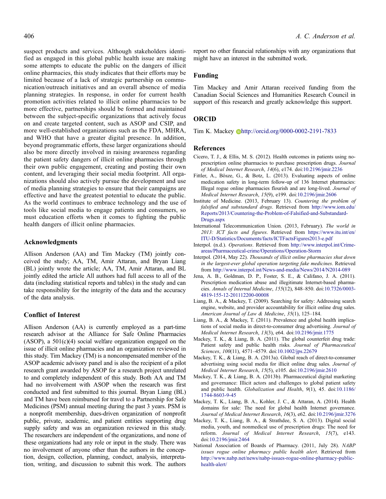<span id="page-10-0"></span>suspect products and services. Although stakeholders identified as engaged in this global public health issue are making some attempts to educate the public on the dangers of illicit online pharmacies, this study indicates that their efforts may be limited because of a lack of strategic partnership on communication/outreach initiatives and an overall absence of media planning strategies. In response, in order for current health promotion activities related to illicit online pharmacies to be more effective, partnerships should be formed and maintained between the subject-specific organizations that actively focus on and create targeted content, such as ASOP and CSIP, and more well-established organizations such as the FDA, MHRA, and WHO that have a greater digital presence. In addition, beyond programmatic efforts, these larger organizations should also be more directly involved in raising awareness regarding the patient safety dangers of illicit online pharmacies through their own public engagement, creating and posting their own content, and leveraging their social media footprint. All organizations should also actively pursue the development and use of media planning strategies to ensure that their campaigns are effective and have the greatest potential to educate the public. As the world continues to embrace technology and the use of tools like social media to engage patients and consumers, so must education efforts when it comes to fighting the public health dangers of illicit online pharmacies.

#### Acknowledgments

Allison Anderson (AA) and Tim Mackey (TM) jointly conceived the study; AA, TM, Amir Attaran, and Bryan Liang (BL) jointly wrote the article; AA, TM, Amir Attaran, and BL jointly edited the article All authors had full access to all of the data (including statistical reports and tables) in the study and can take responsibility for the integrity of the data and the accuracy of the data analysis.

### Conflict of Interest

Allison Anderson (AA) is currently employed as a part-time research advisor at the Alliance for Safe Online Pharmacies  $(ASOP)$ , a  $501(c)(4)$  social welfare organization engaged on the issue of illicit online pharmacies and an organization reviewed in this study. Tim Mackey (TM) is a noncompensated member of the ASOP academic advisory panel and is also the recipient of a pilot research grant awarded by ASOP for a research project unrelated to and completely independent of this study. Both AA and TM had no involvement with ASOP when the research was first conducted and first submitted to this journal. Bryan Liang (BL) and TM have been reimbursed for travel to a Partnership for Safe Medicines (PSM) annual meeting during the past 3 years. PSM is a nonprofit membership, dues-driven organization of nonprofit public, private, academic, and patient entities supporting drug supply safety and was an organization reviewed in this study. The researchers are independent of the organizations, and none of these organizations had any role or input in the study. There was no involvement of anyone other than the authors in the conception, design, collection, planning, conduct, analysis, interpretation, writing, and discussion to submit this work. The authors report no other financial relationships with any organizations that might have an interest in the submitted work.

#### Funding

Tim Mackey and Amir Attaran received funding from the Canadian Social Sciences and Humanities Research Council in support of this research and greatly acknowledge this support.

#### ORCID

Tim K. Mackey **D<http://orcid.org/0000-0002-2191-7833>** 

#### References

- Cicero, T. J., & Ellis, M. S. (2012). Health outcomes in patients using noprescription online pharmacies to purchase prescription drugs. Journal of Medical Internet Research, 14(6), e174. doi:[10.2196/jmir.2236](http://dx.doi.org/10.2196/jmir.2236)
- Fittler, A., Bösze, G., & Botz, L. (2013). Evaluating aspects of online medication safety in long-term follow-up of 136 Internet pharmacies: Illegal rogue online pharmacies flourish and are long-lived. Journal of Medical Internet Research, 15(9), e199. doi:[10.2196/jmir.2606](http://dx.doi.org/10.2196/jmir.2606)
- Institute of Medicine. (2013, February 13). Countering the problem of falsified and substandard drugs. Retrieved from [http://www.iom.edu/](http://www.iom.edu/Reports/2013/Countering-the-Problem-of-Falsified-and-Substandard-Drugs.aspx) [Reports/2013/Countering-the-Problem-of-Falsified-and-Substandard-](http://www.iom.edu/Reports/2013/Countering-the-Problem-of-Falsified-and-Substandard-Drugs.aspx)[Drugs.aspx](http://www.iom.edu/Reports/2013/Countering-the-Problem-of-Falsified-and-Substandard-Drugs.aspx)
- International Telecommunication Union. (2013, February). The world in 2013: ICT facts and figures. Retrieved from [https://www.itu.int/en/](https://www.itu.int/en/ITU-D/Statistics/Documents/facts/ICTFactsFigures2013-e.pdf) [ITU-D/Statistics/Documents/facts/ICTFactsFigures2013-e.pdf](https://www.itu.int/en/ITU-D/Statistics/Documents/facts/ICTFactsFigures2013-e.pdf)
- Interpol. (n.d.). Operations. Retrieved from [http://www.interpol.int/Crime](http://www.interpol.int/Crime-areas/Pharmaceutical-crime/Operations/Operation-Storm)[areas/Pharmaceutical-crime/Operations/Operation-Storm](http://www.interpol.int/Crime-areas/Pharmaceutical-crime/Operations/Operation-Storm)
- Interpol. (2014, May 22). Thousands of illicit online pharmacies shut down in the largest-ever global operation targeting fake medicines. Retrieved from <http://www.interpol.int/News-and-media/News/2014/N2014-089>
- Jena, A. B., Goldman, D. P., Foster, S. E., & Califano, J. A. (2011). Prescription medication abuse and illegitimate Internet-based pharmacies. Annals of Internal Medicine, 155(12), 848–850. doi:[10.7326/0003-](http://dx.doi.org/10.7326/0003-4819-155-12-201112200-00008) [4819-155-12-201112200-00008](http://dx.doi.org/10.7326/0003-4819-155-12-201112200-00008)
- Liang, B. A., & Mackey, T. (2009). Searching for safety: Addressing search engine, website, and provider accountability for illicit online drug sales. American Journal of Law & Medicine, 35(1), 125–184.
- Liang, B. A., & Mackey, T. (2011). Prevalence and global health implications of social media in direct-to-consumer drug advertising. Journal of Medical Internet Research, 13(3), e64. doi:[10.2196/jmir.1775](http://dx.doi.org/10.2196/jmir.1775)
- Mackey, T. K., & Liang, B. A. (2011). The global counterfeit drug trade: Patient safety and public health risks. Journal of Pharmaceutical Sciences, 100(11), 4571–4579. doi:[10.1002/jps.22679](http://dx.doi.org/10.1002/jps.22679)
- Mackey, T. K., & Liang, B. A. (2013a). Global reach of direct-to-consumer advertising using social media for illicit online drug sales. Journal of Medical Internet Research, 15(5), e105. doi:[10.2196/jmir.2610](http://dx.doi.org/10.2196/jmir.2610)
- Mackey, T. K., & Liang, B. A. (2013b). Pharmaceutical digital marketing and governance: Illicit actors and challenges to global patient safety and public health. Globalization and Health, 9(1), 45. doi:[10.1186/](http://dx.doi.org/10.1186/1744-8603-9-45) [1744-8603-9-45](http://dx.doi.org/10.1186/1744-8603-9-45)
- Mackey, T. K., Liang, B. A., Kohler, J. C., & Attaran, A. (2014). Health domains for sale: The need for global health Internet governance. Journal of Medical Internet Research, 16(3), e62. doi:[10.2196/jmir.3276](http://dx.doi.org/10.2196/jmir.3276)
- Mackey, T. K., Liang, B. A., & Strathdee, S. A. (2013). Digital social media, youth, and nonmedical use of prescription drugs: The need for reform. Journal of Medical Internet Research, 15(7), e143. doi:[10.2196/jmir.2464](http://dx.doi.org/10.2196/jmir.2464)
- National Association of Boards of Pharmacy. (2011, July 28). NABP issues rogue online pharmacy public health alert. Retrieved from [http://www.nabp.net/news/nabp-issues-rogue-online-pharmacy-public](http://www.nabp.net/news/nabp-issues-rogue-online-pharmacy-public-health-alert/)[health-alert/](http://www.nabp.net/news/nabp-issues-rogue-online-pharmacy-public-health-alert/)